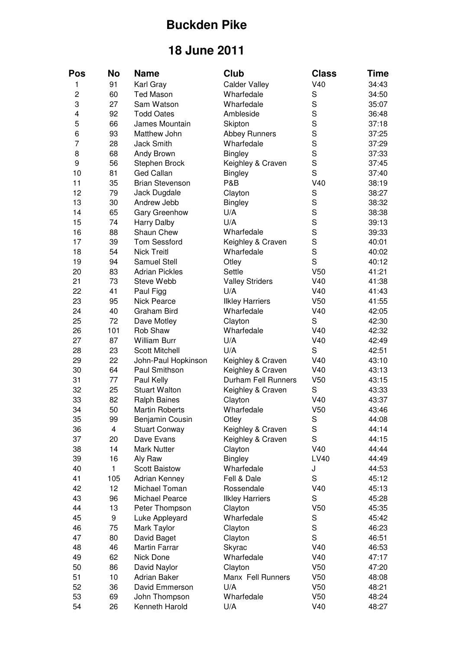## **Buckden Pike**

## **18 June 2011**

| Pos            | <b>No</b>               | <b>Name</b>            | Club                   | <b>Class</b>    | Time           |
|----------------|-------------------------|------------------------|------------------------|-----------------|----------------|
| 1              | 91                      | Karl Gray              | <b>Calder Valley</b>   | V40             | 34:43          |
| $\overline{c}$ | 60                      | <b>Ted Mason</b>       | Wharfedale             | S               | 34:50          |
| 3              | 27                      | Sam Watson             | Wharfedale             | $\mathbf S$     | 35:07          |
| 4              | 92                      | <b>Todd Oates</b>      | Ambleside              | S               | 36:48          |
| 5              | 66                      | James Mountain         | Skipton                | S               | 37:18          |
| 6              | 93                      | Matthew John           | <b>Abbey Runners</b>   | S               | 37:25          |
| 7              | 28                      | <b>Jack Smith</b>      | Wharfedale             | S               | 37:29          |
| 8              | 68                      | Andy Brown             | <b>Bingley</b>         | S               | 37:33          |
| 9              | 56                      | Stephen Brock          | Keighley & Craven      | S               | 37:45          |
| 10             | 81                      | <b>Ged Callan</b>      | <b>Bingley</b>         | S               | 37:40          |
| 11             | 35                      | <b>Brian Stevenson</b> | <b>P&amp;B</b>         | V40             | 38:19          |
| 12             | 79                      | Jack Dugdale           | Clayton                | $\mathbf S$     | 38:27          |
| 13             | 30                      | Andrew Jebb            | <b>Bingley</b>         | S               | 38:32          |
| 14             | 65                      | Gary Greenhow          | U/A                    | S               | 38:38          |
| 15             | 74                      | Harry Dalby            | U/A                    | S               | 39:13          |
| 16             | 88                      | Shaun Chew             | Wharfedale             | S               | 39:33          |
| 17             | 39                      | <b>Tom Sessford</b>    | Keighley & Craven      | S               | 40:01          |
| 18             | 54                      | <b>Nick Treitl</b>     | Wharfedale             | S               | 40:02          |
| 19             | 94                      | <b>Samuel Stell</b>    | Otley                  | S               | 40:12          |
| 20             | 83                      | <b>Adrian Pickles</b>  | Settle                 | V50             | 41:21          |
| 21             | 73                      | Steve Webb             | <b>Valley Striders</b> | V40             | 41:38          |
| 22             | 41                      | Paul Figg              | U/A                    | V40             | 41:43          |
| 23             | 95                      | Nick Pearce            | <b>Ilkley Harriers</b> | V <sub>50</sub> | 41:55          |
| 24             | 40                      | <b>Graham Bird</b>     | Wharfedale             | V40             | 42:05          |
| 25             | 72                      | Dave Motley            | Clayton                | S               | 42:30          |
| 26             | 101                     | Rob Shaw               | Wharfedale             | V40             | 42:32          |
| 27             | 87                      | William Burr           | U/A                    | V40             | 42:49          |
| 28             | 23                      | <b>Scott Mitchell</b>  | U/A                    | S               | 42:51          |
| 29             | 22                      | John-Paul Hopkinson    | Keighley & Craven      | V40             | 43:10          |
| 30             | 64                      | Paul Smithson          | Keighley & Craven      | V40             | 43:13          |
| 31             | 77                      | Paul Kelly             | Durham Fell Runners    | V <sub>50</sub> | 43:15          |
| 32             | 25                      | <b>Stuart Walton</b>   | Keighley & Craven      | S               | 43:33          |
| 33             | 82                      | <b>Ralph Baines</b>    | Clayton                | V40             | 43:37          |
| 34             | 50                      | <b>Martin Roberts</b>  | Wharfedale             | V <sub>50</sub> | 43:46          |
| 35             | 99                      | Benjamin Cousin        | Otley                  | S               | 44:08          |
| 36             | $\overline{\mathbf{4}}$ | <b>Stuart Conway</b>   | Keighley & Craven      | S               | 44:14          |
| 37             | 20                      | Dave Evans             | Keighley & Craven      | S               | 44:15          |
| 38             | 14                      | <b>Mark Nutter</b>     | Clayton                | V40             | 44:44          |
| 39             | 16                      | Aly Raw                | <b>Bingley</b>         | LV40            | 44:49          |
| 40             | $\mathbf{1}$            | <b>Scott Baistow</b>   | Wharfedale             | J               | 44:53          |
| 41             | 105                     | Adrian Kenney          | Fell & Dale            | $\mathbf S$     | 45:12          |
| 42             | 12                      | Michael Toman          | Rossendale             | V40             | 45:13          |
| 43             | 96                      | Michael Pearce         | <b>Ilkley Harriers</b> | $\mathbf S$     | 45:28          |
| 44             | 13                      | Peter Thompson         |                        | V50             | 45:35          |
| 45             | 9                       |                        | Clayton<br>Wharfedale  | $\mathbf S$     | 45:42          |
| 46             |                         | Luke Appleyard         |                        | $\mathbf S$     |                |
| 47             | 75<br>80                | Mark Taylor            | Clayton                | S               | 46:23<br>46:51 |
|                |                         | David Baget            | Clayton                |                 |                |
| 48             | 46                      | <b>Martin Farrar</b>   | Skyrac                 | V40             | 46:53          |
| 49             | 62                      | Nick Done              | Wharfedale             | V40             | 47:17          |
| 50             | 86                      | David Naylor           | Clayton                | V50             | 47:20          |
| 51             | 10                      | Adrian Baker           | Manx Fell Runners      | V50             | 48:08          |
| 52             | 36                      | David Emmerson         | U/A                    | V <sub>50</sub> | 48:21          |
| 53             | 69                      | John Thompson          | Wharfedale             | V <sub>50</sub> | 48:24          |
| 54             | 26                      | Kenneth Harold         | U/A                    | V40             | 48:27          |